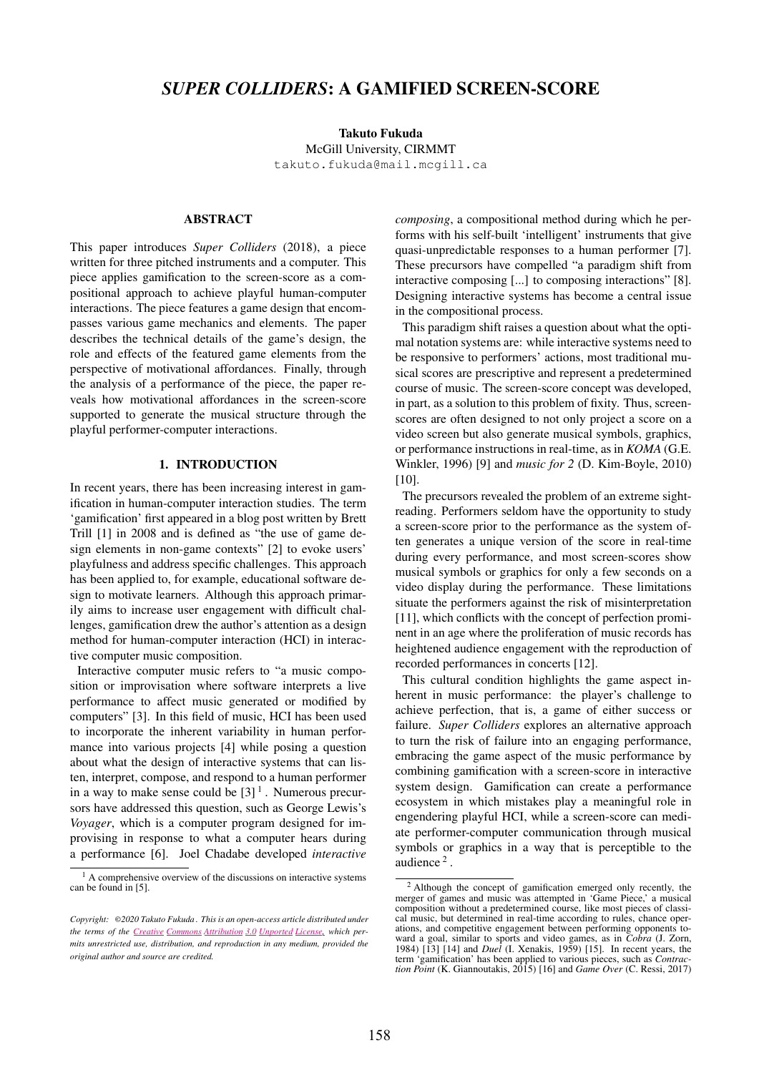# *SUPER COLLIDERS*: A GAMIFIED SCREEN-SCORE

Takuto Fukuda McGill University, CIRMMT [takuto.fukuda@mail.mcgill.ca](mailto:takuto.fukuda@mail.mcgill.ca)

## ABSTRACT

This paper introduces *Super Colliders* (2018), a piece written for three pitched instruments and a computer. This piece applies gamification to the screen-score as a compositional approach to achieve playful human-computer interactions. The piece features a game design that encompasses various game mechanics and elements. The paper describes the technical details of the game's design, the role and effects of the featured game elements from the perspective of motivational affordances. Finally, through the analysis of a performance of the piece, the paper reveals how motivational affordances in the screen-score supported to generate the musical structure through the playful performer-computer interactions.

#### 1. INTRODUCTION

In recent years, there has been increasing interest in gamification in human-computer interaction studies. The term 'gamification' first appeared in a blog post written by Brett Trill [1] in 2008 and is defined as "the use of game design elements in non-game contexts" [2] to evoke users' playfulness and address specific challenges. This approach has been applied to, for example, educational software design to motivate learners. Although this approach primarily aims to increase user engagement with difficult challenges, gamification drew the author's attention as a design method for human-computer interaction (HCI) in interactive computer music composition.

Interactive computer music refers to "a music composition or improvisation where software interprets a live performance to affect music generated or modified by computers" [3]. In this field of music, HCI has been used to incorporate the inherent variability in human performance into various projects [4] while posing a question about what the design of interactive systems that can listen, interpret, compose, and respond to a human performer in a way to make sense could be  $[3]$ <sup>1</sup>. Numerous precursors have addressed this question, such as George Lewis's *Voyager*, which is a computer program designed for improvising in response to what a computer hears during a performance [6]. Joel Chadabe developed *interactive* *composing*, a compositional method during which he performs with his self-built 'intelligent' instruments that give quasi-unpredictable responses to a human performer [7]. These precursors have compelled "a paradigm shift from interactive composing [...] to composing interactions" [8]. Designing interactive systems has become a central issue in the compositional process.

This paradigm shift raises a question about what the optimal notation systems are: while interactive systems need to be responsive to performers' actions, most traditional musical scores are prescriptive and represent a predetermined course of music. The screen-score concept was developed, in part, as a solution to this problem of fixity. Thus, screenscores are often designed to not only project a score on a video screen but also generate musical symbols, graphics, or performance instructions in real-time, as in *KOMA* (G.E. Winkler, 1996) [9] and *music for 2* (D. Kim-Boyle, 2010) [10].

The precursors revealed the problem of an extreme sightreading. Performers seldom have the opportunity to study a screen-score prior to the performance as the system often generates a unique version of the score in real-time during every performance, and most screen-scores show musical symbols or graphics for only a few seconds on a video display during the performance. These limitations situate the performers against the risk of misinterpretation [11], which conflicts with the concept of perfection prominent in an age where the proliferation of music records has heightened audience engagement with the reproduction of recorded performances in concerts [12].

This cultural condition highlights the game aspect inherent in music performance: the player's challenge to achieve perfection, that is, a game of either success or failure. *Super Colliders* explores an alternative approach to turn the risk of failure into an engaging performance, embracing the game aspect of the music performance by combining gamification with a screen-score in interactive system design. Gamification can create a performance ecosystem in which mistakes play a meaningful role in engendering playful HCI, while a screen-score can mediate performer-computer communication through musical symbols or graphics in a way that is perceptible to the audience<sup>2</sup>.

<sup>1</sup> A comprehensive overview of the discussions on interactive systems can be found in [5].

*Copyright:* ©*2020 Takuto Fukuda . This is an open-access article distributed under the terms of the Creative Commons Attribution 3.0 Unported License, which permits unrestricted use, distribution, and [reproduction](http://creativecommons.org/licenses/by/3.0/) in any medium, provided the original author and source are credited.*

<sup>2</sup> Although the concept of gamification emerged only recently, the merger of games and music was attempted in 'Game Piece,' a musical composition without a predetermined course, like most pieces of classical music, but determined in real-time according to rules, chance operations, and competitive engagement between performing opponents toward a goal, similar to sports and video games, as in *Cobra* (J. Zorn, 1984) [13] [14] and *Duel* (I. Xenakis, 1959) [15]. In recent years, the term 'gamification' has been applied to various pieces, such as *Contraction Point* (K. Giannoutakis, 2015) [16] and *Game Over* (C. Ressi, 2017)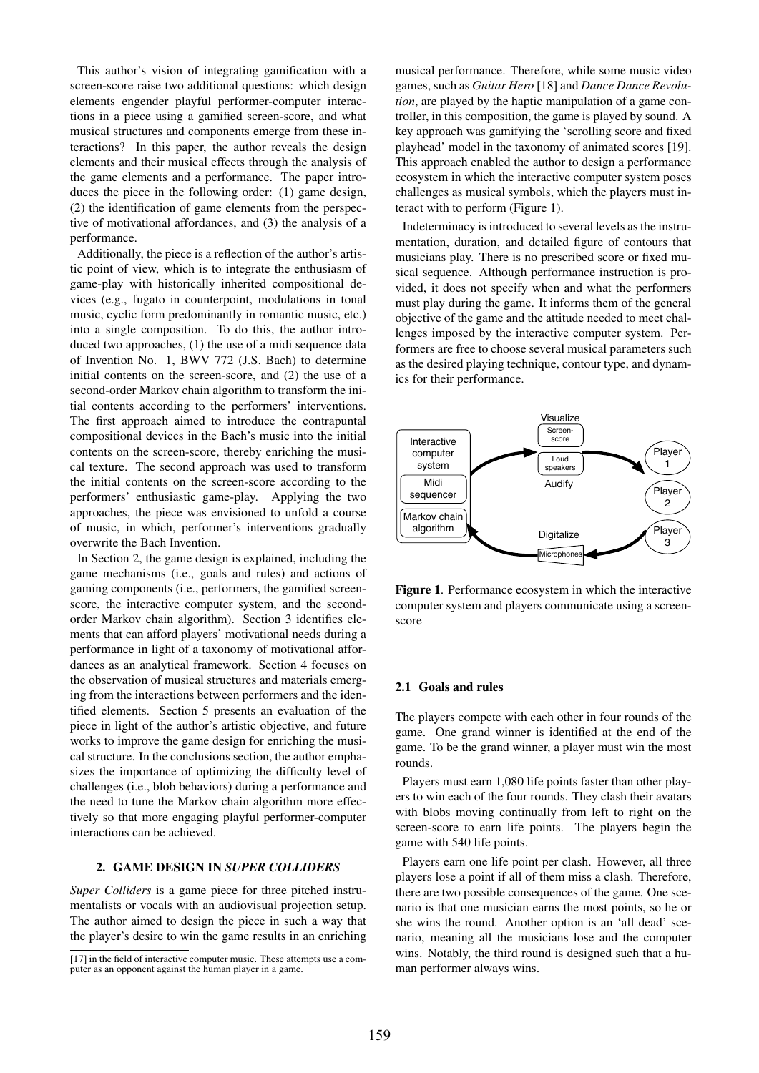This author's vision of integrating gamification with a screen-score raise two additional questions: which design elements engender playful performer-computer interactions in a piece using a gamified screen-score, and what musical structures and components emerge from these interactions? In this paper, the author reveals the design elements and their musical effects through the analysis of the game elements and a performance. The paper introduces the piece in the following order: (1) game design, (2) the identification of game elements from the perspective of motivational affordances, and (3) the analysis of a performance.

Additionally, the piece is a reflection of the author's artistic point of view, which is to integrate the enthusiasm of game-play with historically inherited compositional devices (e.g., fugato in counterpoint, modulations in tonal music, cyclic form predominantly in romantic music, etc.) into a single composition. To do this, the author introduced two approaches, (1) the use of a midi sequence data of Invention No. 1, BWV 772 (J.S. Bach) to determine initial contents on the screen-score, and (2) the use of a second-order Markov chain algorithm to transform the initial contents according to the performers' interventions. The first approach aimed to introduce the contrapuntal compositional devices in the Bach's music into the initial contents on the screen-score, thereby enriching the musical texture. The second approach was used to transform the initial contents on the screen-score according to the performers' enthusiastic game-play. Applying the two approaches, the piece was envisioned to unfold a course of music, in which, performer's interventions gradually overwrite the Bach Invention.

In Section 2, the game design is explained, including the game mechanisms (i.e., goals and rules) and actions of gaming components (i.e., performers, the gamified screenscore, the interactive computer system, and the secondorder Markov chain algorithm). Section 3 identifies elements that can afford players' motivational needs during a performance in light of a taxonomy of motivational affordances as an analytical framework. Section 4 focuses on the observation of musical structures and materials emerging from the interactions between performers and the identified elements. Section 5 presents an evaluation of the piece in light of the author's artistic objective, and future works to improve the game design for enriching the musical structure. In the conclusions section, the author emphasizes the importance of optimizing the difficulty level of challenges (i.e., blob behaviors) during a performance and the need to tune the Markov chain algorithm more effectively so that more engaging playful performer-computer interactions can be achieved.

## 2. GAME DESIGN IN *SUPER COLLIDERS*

*Super Colliders* is a game piece for three pitched instrumentalists or vocals with an audiovisual projection setup. The author aimed to design the piece in such a way that the player's desire to win the game results in an enriching musical performance. Therefore, while some music video games, such as *Guitar Hero* [18] and *Dance Dance Revolution*, are played by the haptic manipulation of a game controller, in this composition, the game is played by sound. A key approach was gamifying the 'scrolling score and fixed playhead' model in the taxonomy of animated scores [19]. This approach enabled the author to design a performance ecosystem in which the interactive computer system poses challenges as musical symbols, which the players must interact with to perform (Figure 1).

Indeterminacy is introduced to several levels as the instrumentation, duration, and detailed figure of contours that musicians play. There is no prescribed score or fixed musical sequence. Although performance instruction is provided, it does not specify when and what the performers must play during the game. It informs them of the general objective of the game and the attitude needed to meet challenges imposed by the interactive computer system. Performers are free to choose several musical parameters such as the desired playing technique, contour type, and dynamics for their performance.



Figure 1. Performance ecosystem in which the interactive computer system and players communicate using a screenscore

#### 2.1 Goals and rules

The players compete with each other in four rounds of the game. One grand winner is identified at the end of the game. To be the grand winner, a player must win the most rounds.

Players must earn 1,080 life points faster than other players to win each of the four rounds. They clash their avatars with blobs moving continually from left to right on the screen-score to earn life points. The players begin the game with 540 life points.

Players earn one life point per clash. However, all three players lose a point if all of them miss a clash. Therefore, there are two possible consequences of the game. One scenario is that one musician earns the most points, so he or she wins the round. Another option is an 'all dead' scenario, meaning all the musicians lose and the computer wins. Notably, the third round is designed such that a human performer always wins.

<sup>[17]</sup> in the field of interactive computer music. These attempts use a computer as an opponent against the human player in a game.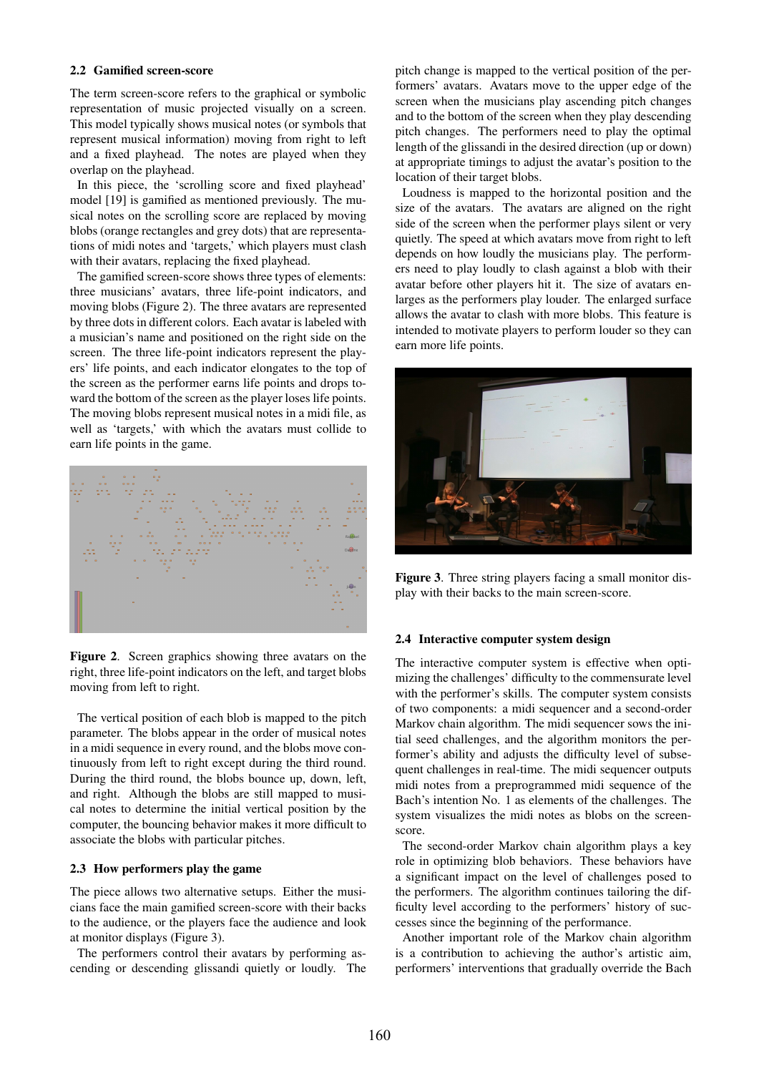## 2.2 Gamified screen-score

The term screen-score refers to the graphical or symbolic representation of music projected visually on a screen. This model typically shows musical notes (or symbols that represent musical information) moving from right to left and a fixed playhead. The notes are played when they overlap on the playhead.

In this piece, the 'scrolling score and fixed playhead' model [19] is gamified as mentioned previously. The musical notes on the scrolling score are replaced by moving blobs (orange rectangles and grey dots) that are representations of midi notes and 'targets,' which players must clash with their avatars, replacing the fixed playhead.

The gamified screen-score shows three types of elements: three musicians' avatars, three life-point indicators, and moving blobs (Figure 2). The three avatars are represented by three dots in different colors. Each avatar is labeled with a musician's name and positioned on the right side on the screen. The three life-point indicators represent the players' life points, and each indicator elongates to the top of the screen as the performer earns life points and drops toward the bottom of the screen as the player loses life points. The moving blobs represent musical notes in a midi file, as well as 'targets,' with which the avatars must collide to earn life points in the game.



Figure 2. Screen graphics showing three avatars on the right, three life-point indicators on the left, and target blobs moving from left to right.

The vertical position of each blob is mapped to the pitch parameter. The blobs appear in the order of musical notes in a midi sequence in every round, and the blobs move continuously from left to right except during the third round. During the third round, the blobs bounce up, down, left, and right. Although the blobs are still mapped to musical notes to determine the initial vertical position by the computer, the bouncing behavior makes it more difficult to associate the blobs with particular pitches.

### 2.3 How performers play the game

The piece allows two alternative setups. Either the musicians face the main gamified screen-score with their backs to the audience, or the players face the audience and look at monitor displays (Figure 3).

The performers control their avatars by performing ascending or descending glissandi quietly or loudly. The pitch change is mapped to the vertical position of the performers' avatars. Avatars move to the upper edge of the screen when the musicians play ascending pitch changes and to the bottom of the screen when they play descending pitch changes. The performers need to play the optimal length of the glissandi in the desired direction (up or down) at appropriate timings to adjust the avatar's position to the location of their target blobs.

Loudness is mapped to the horizontal position and the size of the avatars. The avatars are aligned on the right side of the screen when the performer plays silent or very quietly. The speed at which avatars move from right to left depends on how loudly the musicians play. The performers need to play loudly to clash against a blob with their avatar before other players hit it. The size of avatars enlarges as the performers play louder. The enlarged surface allows the avatar to clash with more blobs. This feature is intended to motivate players to perform louder so they can earn more life points.



Figure 3. Three string players facing a small monitor display with their backs to the main screen-score.

## 2.4 Interactive computer system design

The interactive computer system is effective when optimizing the challenges' difficulty to the commensurate level with the performer's skills. The computer system consists of two components: a midi sequencer and a second-order Markov chain algorithm. The midi sequencer sows the initial seed challenges, and the algorithm monitors the performer's ability and adjusts the difficulty level of subsequent challenges in real-time. The midi sequencer outputs midi notes from a preprogrammed midi sequence of the Bach's intention No. 1 as elements of the challenges. The system visualizes the midi notes as blobs on the screenscore.

The second-order Markov chain algorithm plays a key role in optimizing blob behaviors. These behaviors have a significant impact on the level of challenges posed to the performers. The algorithm continues tailoring the difficulty level according to the performers' history of successes since the beginning of the performance.

Another important role of the Markov chain algorithm is a contribution to achieving the author's artistic aim, performers' interventions that gradually override the Bach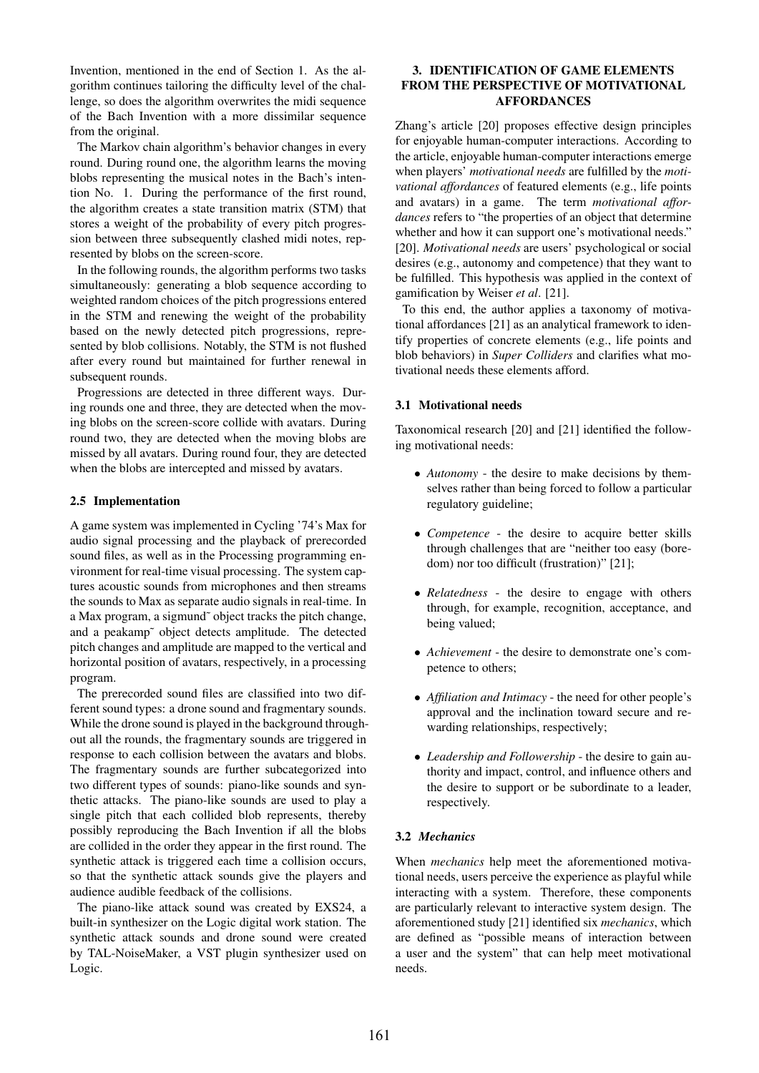Invention, mentioned in the end of Section 1. As the algorithm continues tailoring the difficulty level of the challenge, so does the algorithm overwrites the midi sequence of the Bach Invention with a more dissimilar sequence from the original.

The Markov chain algorithm's behavior changes in every round. During round one, the algorithm learns the moving blobs representing the musical notes in the Bach's intention No. 1. During the performance of the first round, the algorithm creates a state transition matrix (STM) that stores a weight of the probability of every pitch progression between three subsequently clashed midi notes, represented by blobs on the screen-score.

In the following rounds, the algorithm performs two tasks simultaneously: generating a blob sequence according to weighted random choices of the pitch progressions entered in the STM and renewing the weight of the probability based on the newly detected pitch progressions, represented by blob collisions. Notably, the STM is not flushed after every round but maintained for further renewal in subsequent rounds.

Progressions are detected in three different ways. During rounds one and three, they are detected when the moving blobs on the screen-score collide with avatars. During round two, they are detected when the moving blobs are missed by all avatars. During round four, they are detected when the blobs are intercepted and missed by avatars.

## 2.5 Implementation

A game system was implemented in Cycling '74's Max for audio signal processing and the playback of prerecorded sound files, as well as in the Processing programming environment for real-time visual processing. The system captures acoustic sounds from microphones and then streams the sounds to Max as separate audio signals in real-time. In a Max program, a sigmund˜ object tracks the pitch change, and a peakamp˜ object detects amplitude. The detected pitch changes and amplitude are mapped to the vertical and horizontal position of avatars, respectively, in a processing program.

The prerecorded sound files are classified into two different sound types: a drone sound and fragmentary sounds. While the drone sound is played in the background throughout all the rounds, the fragmentary sounds are triggered in response to each collision between the avatars and blobs. The fragmentary sounds are further subcategorized into two different types of sounds: piano-like sounds and synthetic attacks. The piano-like sounds are used to play a single pitch that each collided blob represents, thereby possibly reproducing the Bach Invention if all the blobs are collided in the order they appear in the first round. The synthetic attack is triggered each time a collision occurs, so that the synthetic attack sounds give the players and audience audible feedback of the collisions.

The piano-like attack sound was created by EXS24, a built-in synthesizer on the Logic digital work station. The synthetic attack sounds and drone sound were created by TAL-NoiseMaker, a VST plugin synthesizer used on Logic.

## 3. IDENTIFICATION OF GAME ELEMENTS FROM THE PERSPECTIVE OF MOTIVATIONAL AFFORDANCES

Zhang's article [20] proposes effective design principles for enjoyable human-computer interactions. According to the article, enjoyable human-computer interactions emerge when players' *motivational needs* are fulfilled by the *motivational affordances* of featured elements (e.g., life points and avatars) in a game. The term *motivational affordances* refers to "the properties of an object that determine whether and how it can support one's motivational needs." [20]. *Motivational needs* are users' psychological or social desires (e.g., autonomy and competence) that they want to be fulfilled. This hypothesis was applied in the context of gamification by Weiser *et al*. [21].

To this end, the author applies a taxonomy of motivational affordances [21] as an analytical framework to identify properties of concrete elements (e.g., life points and blob behaviors) in *Super Colliders* and clarifies what motivational needs these elements afford.

## 3.1 Motivational needs

Taxonomical research [20] and [21] identified the following motivational needs:

- *Autonomy* the desire to make decisions by themselves rather than being forced to follow a particular regulatory guideline;
- *Competence* the desire to acquire better skills through challenges that are "neither too easy (boredom) nor too difficult (frustration)" [21];
- *Relatedness* the desire to engage with others through, for example, recognition, acceptance, and being valued;
- *Achievement* the desire to demonstrate one's competence to others;
- *Affiliation and Intimacy* the need for other people's approval and the inclination toward secure and rewarding relationships, respectively;
- *Leadership and Followership* the desire to gain authority and impact, control, and influence others and the desire to support or be subordinate to a leader, respectively.

## 3.2 *Mechanics*

When *mechanics* help meet the aforementioned motivational needs, users perceive the experience as playful while interacting with a system. Therefore, these components are particularly relevant to interactive system design. The aforementioned study [21] identified six *mechanics*, which are defined as "possible means of interaction between a user and the system" that can help meet motivational needs.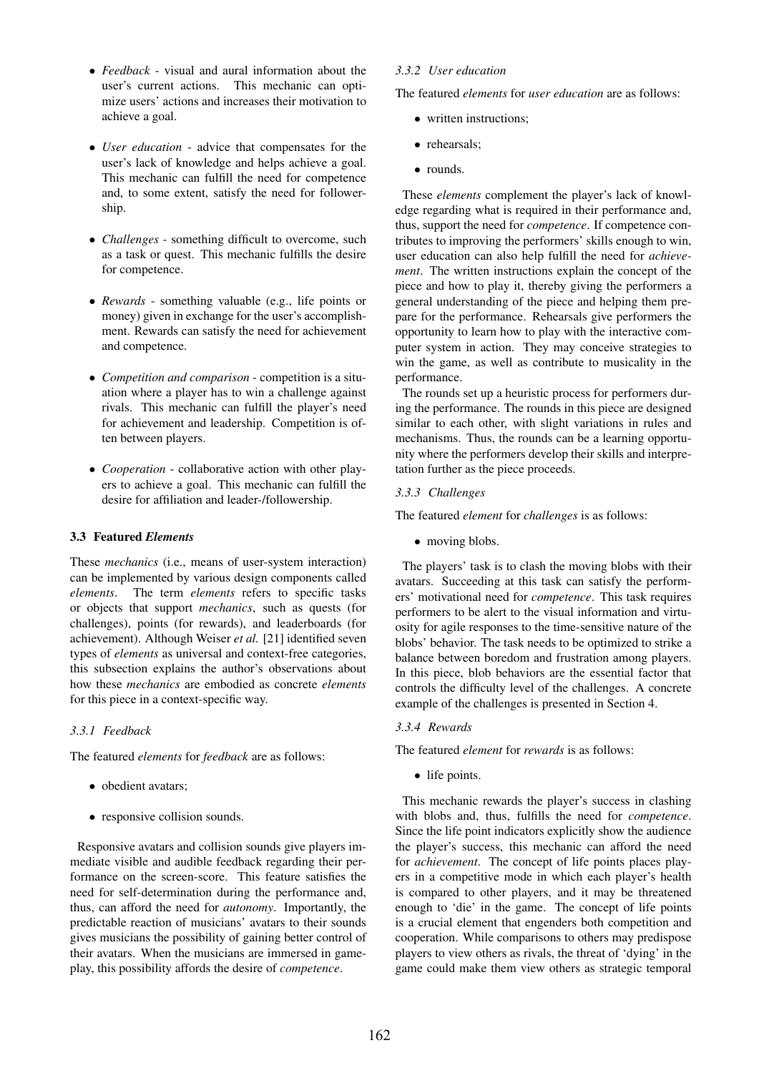- *Feedback* visual and aural information about the user's current actions. This mechanic can optimize users' actions and increases their motivation to achieve a goal.
- *User education* advice that compensates for the user's lack of knowledge and helps achieve a goal. This mechanic can fulfill the need for competence and, to some extent, satisfy the need for followership.
- *Challenges* something difficult to overcome, such as a task or quest. This mechanic fulfills the desire for competence.
- *Rewards* something valuable (e.g., life points or money) given in exchange for the user's accomplishment. Rewards can satisfy the need for achievement and competence.
- *Competition and comparison* competition is a situation where a player has to win a challenge against rivals. This mechanic can fulfill the player's need for achievement and leadership. Competition is often between players.
- *Cooperation* collaborative action with other players to achieve a goal. This mechanic can fulfill the desire for affiliation and leader-/followership.

## 3.3 Featured *Elements*

These *mechanics* (i.e., means of user-system interaction) can be implemented by various design components called *elements*. The term *elements* refers to specific tasks or objects that support *mechanics*, such as quests (for challenges), points (for rewards), and leaderboards (for achievement). Although Weiser *et al.* [21] identified seven types of *elements* as universal and context-free categories, this subsection explains the author's observations about how these *mechanics* are embodied as concrete *elements* for this piece in a context-specific way.

## *3.3.1 Feedback*

The featured *elements* for *feedback* are as follows:

- obedient avatars;
- responsive collision sounds.

Responsive avatars and collision sounds give players immediate visible and audible feedback regarding their performance on the screen-score. This feature satisfies the need for self-determination during the performance and, thus, can afford the need for *autonomy*. Importantly, the predictable reaction of musicians' avatars to their sounds gives musicians the possibility of gaining better control of their avatars. When the musicians are immersed in gameplay, this possibility affords the desire of *competence*.

## *3.3.2 User education*

The featured *elements* for *user education* are as follows:

- written instructions;
- rehearsals;
- rounds.

These *elements* complement the player's lack of knowledge regarding what is required in their performance and, thus, support the need for *competence*. If competence contributes to improving the performers' skills enough to win, user education can also help fulfill the need for *achievement*. The written instructions explain the concept of the piece and how to play it, thereby giving the performers a general understanding of the piece and helping them prepare for the performance. Rehearsals give performers the opportunity to learn how to play with the interactive computer system in action. They may conceive strategies to win the game, as well as contribute to musicality in the performance.

The rounds set up a heuristic process for performers during the performance. The rounds in this piece are designed similar to each other, with slight variations in rules and mechanisms. Thus, the rounds can be a learning opportunity where the performers develop their skills and interpretation further as the piece proceeds.

## *3.3.3 Challenges*

The featured *element* for *challenges* is as follows:

• moving blobs.

The players' task is to clash the moving blobs with their avatars. Succeeding at this task can satisfy the performers' motivational need for *competence*. This task requires performers to be alert to the visual information and virtuosity for agile responses to the time-sensitive nature of the blobs' behavior. The task needs to be optimized to strike a balance between boredom and frustration among players. In this piece, blob behaviors are the essential factor that controls the difficulty level of the challenges. A concrete example of the challenges is presented in Section 4.

#### *3.3.4 Rewards*

The featured *element* for *rewards* is as follows:

• life points.

This mechanic rewards the player's success in clashing with blobs and, thus, fulfills the need for *competence*. Since the life point indicators explicitly show the audience the player's success, this mechanic can afford the need for *achievement*. The concept of life points places players in a competitive mode in which each player's health is compared to other players, and it may be threatened enough to 'die' in the game. The concept of life points is a crucial element that engenders both competition and cooperation. While comparisons to others may predispose players to view others as rivals, the threat of 'dying' in the game could make them view others as strategic temporal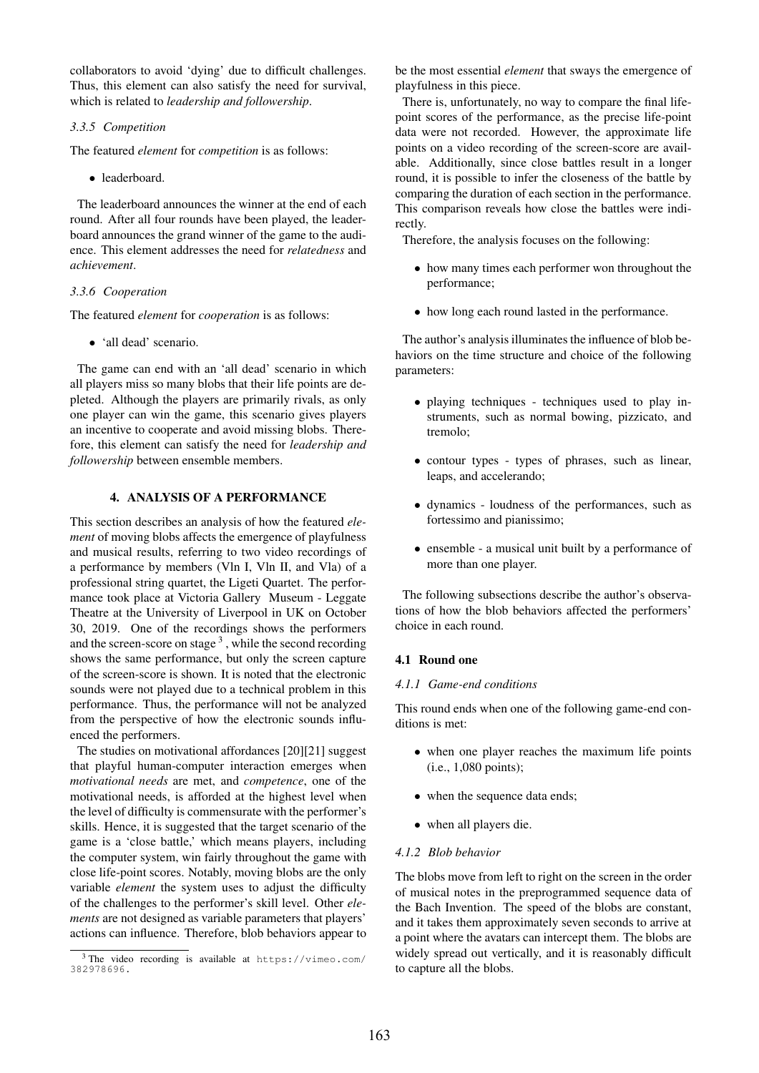collaborators to avoid 'dying' due to difficult challenges. Thus, this element can also satisfy the need for survival, which is related to *leadership and followership*.

## *3.3.5 Competition*

The featured *element* for *competition* is as follows:

• leaderboard.

The leaderboard announces the winner at the end of each round. After all four rounds have been played, the leaderboard announces the grand winner of the game to the audience. This element addresses the need for *relatedness* and *achievement*.

#### *3.3.6 Cooperation*

The featured *element* for *cooperation* is as follows:

• 'all dead' scenario.

The game can end with an 'all dead' scenario in which all players miss so many blobs that their life points are depleted. Although the players are primarily rivals, as only one player can win the game, this scenario gives players an incentive to cooperate and avoid missing blobs. Therefore, this element can satisfy the need for *leadership and followership* between ensemble members.

## 4. ANALYSIS OF A PERFORMANCE

This section describes an analysis of how the featured *element* of moving blobs affects the emergence of playfulness and musical results, referring to two video recordings of a performance by members (Vln I, Vln II, and Vla) of a professional string quartet, the Ligeti Quartet. The performance took place at Victoria Gallery Museum - Leggate Theatre at the University of Liverpool in UK on October 30, 2019. One of the recordings shows the performers and the screen-score on stage<sup>3</sup>, while the second recording shows the same performance, but only the screen capture of the screen-score is shown. It is noted that the electronic sounds were not played due to a technical problem in this performance. Thus, the performance will not be analyzed from the perspective of how the electronic sounds influenced the performers.

The studies on motivational affordances [20][21] suggest that playful human-computer interaction emerges when *motivational needs* are met, and *competence*, one of the motivational needs, is afforded at the highest level when the level of difficulty is commensurate with the performer's skills. Hence, it is suggested that the target scenario of the game is a 'close battle,' which means players, including the computer system, win fairly throughout the game with close life-point scores. Notably, moving blobs are the only variable *element* the system uses to adjust the difficulty of the challenges to the performer's skill level. Other *elements* are not designed as variable parameters that players' actions can influence. Therefore, blob behaviors appear to be the most essential *element* that sways the emergence of playfulness in this piece.

There is, unfortunately, no way to compare the final lifepoint scores of the performance, as the precise life-point data were not recorded. However, the approximate life points on a video recording of the screen-score are available. Additionally, since close battles result in a longer round, it is possible to infer the closeness of the battle by comparing the duration of each section in the performance. This comparison reveals how close the battles were indirectly.

Therefore, the analysis focuses on the following:

- how many times each performer won throughout the performance;
- how long each round lasted in the performance.

The author's analysis illuminates the influence of blob behaviors on the time structure and choice of the following parameters:

- playing techniques techniques used to play instruments, such as normal bowing, pizzicato, and tremolo;
- contour types types of phrases, such as linear, leaps, and accelerando;
- dynamics loudness of the performances, such as fortessimo and pianissimo;
- ensemble a musical unit built by a performance of more than one player.

The following subsections describe the author's observations of how the blob behaviors affected the performers' choice in each round.

## 4.1 Round one

#### *4.1.1 Game-end conditions*

This round ends when one of the following game-end conditions is met:

- when one player reaches the maximum life points (i.e., 1,080 points);
- when the sequence data ends;
- when all players die.

## *4.1.2 Blob behavior*

The blobs move from left to right on the screen in the order of musical notes in the preprogrammed sequence data of the Bach Invention. The speed of the blobs are constant, and it takes them approximately seven seconds to arrive at a point where the avatars can intercept them. The blobs are widely spread out vertically, and it is reasonably difficult to capture all the blobs.

<sup>3</sup> The video recording is available at [https://vimeo.com/](https://vimeo.com/382978696.) [382978696.](https://vimeo.com/382978696.)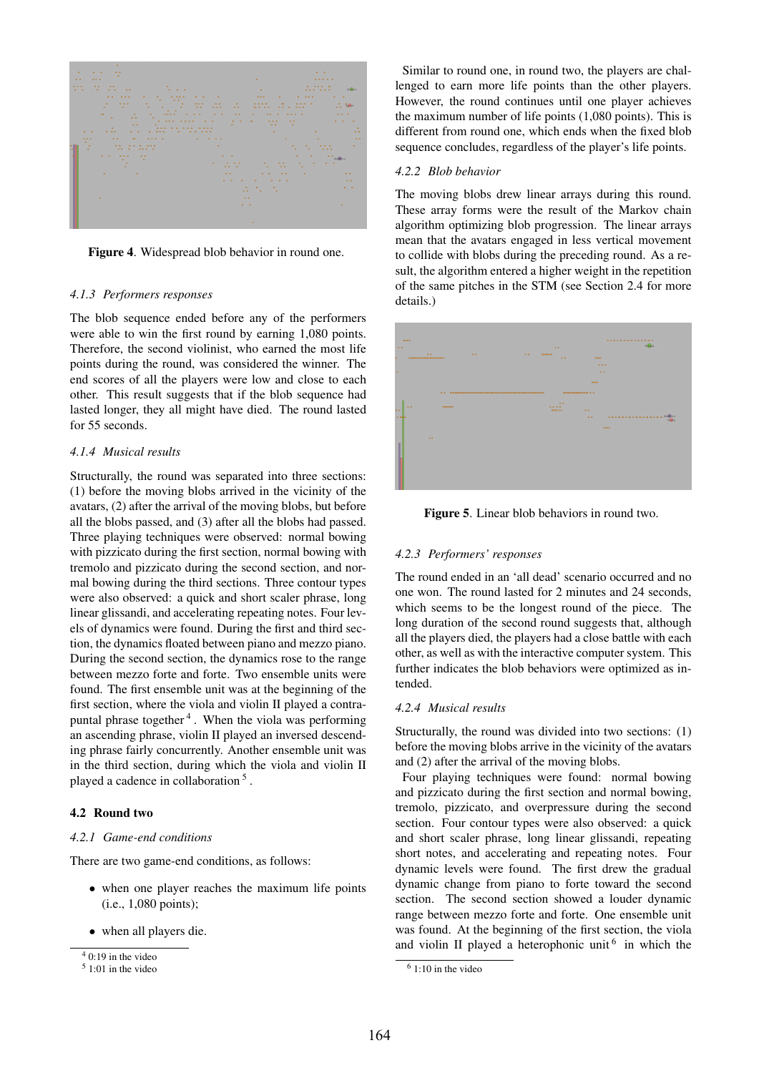

Figure 4. Widespread blob behavior in round one.

#### *4.1.3 Performers responses*

The blob sequence ended before any of the performers were able to win the first round by earning 1,080 points. Therefore, the second violinist, who earned the most life points during the round, was considered the winner. The end scores of all the players were low and close to each other. This result suggests that if the blob sequence had lasted longer, they all might have died. The round lasted for 55 seconds.

## *4.1.4 Musical results*

Structurally, the round was separated into three sections: (1) before the moving blobs arrived in the vicinity of the avatars, (2) after the arrival of the moving blobs, but before all the blobs passed, and (3) after all the blobs had passed. Three playing techniques were observed: normal bowing with pizzicato during the first section, normal bowing with tremolo and pizzicato during the second section, and normal bowing during the third sections. Three contour types were also observed: a quick and short scaler phrase, long linear glissandi, and accelerating repeating notes. Four levels of dynamics were found. During the first and third section, the dynamics floated between piano and mezzo piano. During the second section, the dynamics rose to the range between mezzo forte and forte. Two ensemble units were found. The first ensemble unit was at the beginning of the first section, where the viola and violin II played a contrapuntal phrase together<sup>4</sup>. When the viola was performing an ascending phrase, violin II played an inversed descending phrase fairly concurrently. Another ensemble unit was in the third section, during which the viola and violin II played a cadence in collaboration<sup>5</sup>.

## 4.2 Round two

### *4.2.1 Game-end conditions*

There are two game-end conditions, as follows:

- when one player reaches the maximum life points (i.e., 1,080 points);
- when all players die.

Similar to round one, in round two, the players are challenged to earn more life points than the other players. However, the round continues until one player achieves the maximum number of life points (1,080 points). This is different from round one, which ends when the fixed blob sequence concludes, regardless of the player's life points.

#### *4.2.2 Blob behavior*

The moving blobs drew linear arrays during this round. These array forms were the result of the Markov chain algorithm optimizing blob progression. The linear arrays mean that the avatars engaged in less vertical movement to collide with blobs during the preceding round. As a result, the algorithm entered a higher weight in the repetition of the same pitches in the STM (see Section 2.4 for more details.)





#### *4.2.3 Performers' responses*

The round ended in an 'all dead' scenario occurred and no one won. The round lasted for 2 minutes and 24 seconds, which seems to be the longest round of the piece. The long duration of the second round suggests that, although all the players died, the players had a close battle with each other, as well as with the interactive computer system. This further indicates the blob behaviors were optimized as intended.

#### *4.2.4 Musical results*

Structurally, the round was divided into two sections: (1) before the moving blobs arrive in the vicinity of the avatars and (2) after the arrival of the moving blobs.

Four playing techniques were found: normal bowing and pizzicato during the first section and normal bowing, tremolo, pizzicato, and overpressure during the second section. Four contour types were also observed: a quick and short scaler phrase, long linear glissandi, repeating short notes, and accelerating and repeating notes. Four dynamic levels were found. The first drew the gradual dynamic change from piano to forte toward the second section. The second section showed a louder dynamic range between mezzo forte and forte. One ensemble unit was found. At the beginning of the first section, the viola and violin II played a heterophonic unit  $6$  in which the

 $\sqrt[4]{10 \cdot 19}$  in the video

 $51:01$  in the video

 $61:10$  in the video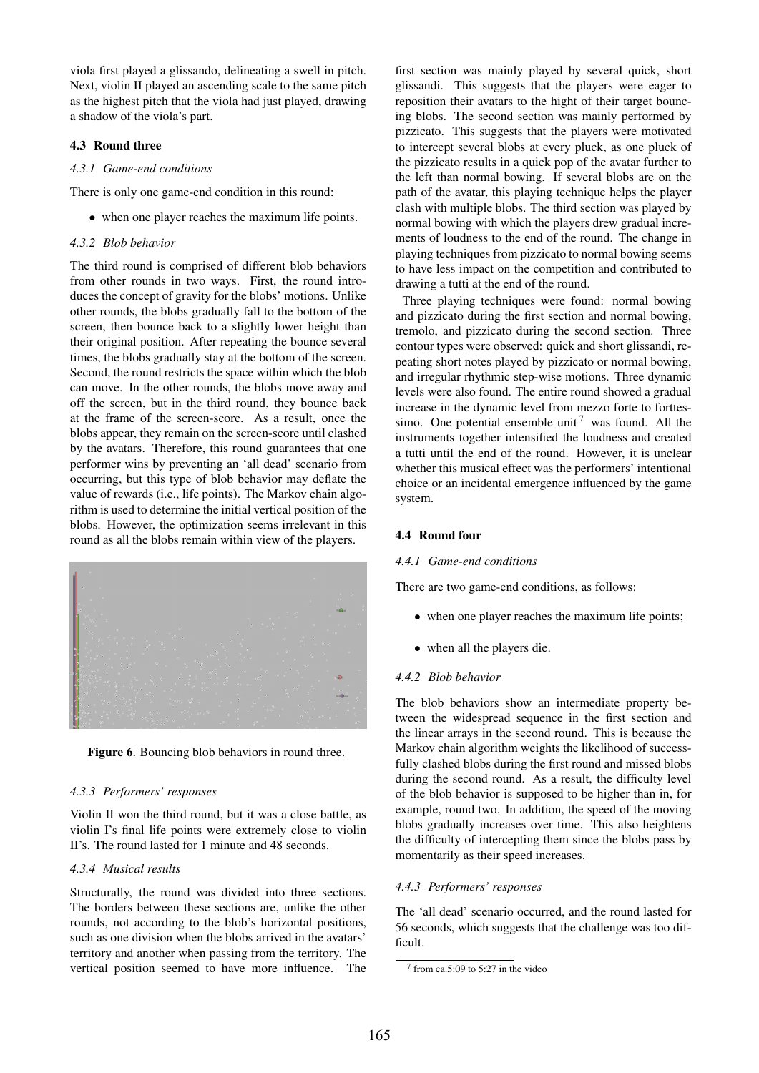viola first played a glissando, delineating a swell in pitch. Next, violin II played an ascending scale to the same pitch as the highest pitch that the viola had just played, drawing a shadow of the viola's part.

## 4.3 Round three

## *4.3.1 Game-end conditions*

There is only one game-end condition in this round:

• when one player reaches the maximum life points.

## *4.3.2 Blob behavior*

The third round is comprised of different blob behaviors from other rounds in two ways. First, the round introduces the concept of gravity for the blobs' motions. Unlike other rounds, the blobs gradually fall to the bottom of the screen, then bounce back to a slightly lower height than their original position. After repeating the bounce several times, the blobs gradually stay at the bottom of the screen. Second, the round restricts the space within which the blob can move. In the other rounds, the blobs move away and off the screen, but in the third round, they bounce back at the frame of the screen-score. As a result, once the blobs appear, they remain on the screen-score until clashed by the avatars. Therefore, this round guarantees that one performer wins by preventing an 'all dead' scenario from occurring, but this type of blob behavior may deflate the value of rewards (i.e., life points). The Markov chain algorithm is used to determine the initial vertical position of the blobs. However, the optimization seems irrelevant in this round as all the blobs remain within view of the players.





#### *4.3.3 Performers' responses*

Violin II won the third round, but it was a close battle, as violin I's final life points were extremely close to violin II's. The round lasted for 1 minute and 48 seconds.

## *4.3.4 Musical results*

Structurally, the round was divided into three sections. The borders between these sections are, unlike the other rounds, not according to the blob's horizontal positions, such as one division when the blobs arrived in the avatars' territory and another when passing from the territory. The vertical position seemed to have more influence. The first section was mainly played by several quick, short glissandi. This suggests that the players were eager to reposition their avatars to the hight of their target bouncing blobs. The second section was mainly performed by pizzicato. This suggests that the players were motivated to intercept several blobs at every pluck, as one pluck of the pizzicato results in a quick pop of the avatar further to the left than normal bowing. If several blobs are on the path of the avatar, this playing technique helps the player clash with multiple blobs. The third section was played by normal bowing with which the players drew gradual increments of loudness to the end of the round. The change in playing techniques from pizzicato to normal bowing seems to have less impact on the competition and contributed to drawing a tutti at the end of the round.

Three playing techniques were found: normal bowing and pizzicato during the first section and normal bowing, tremolo, and pizzicato during the second section. Three contour types were observed: quick and short glissandi, repeating short notes played by pizzicato or normal bowing, and irregular rhythmic step-wise motions. Three dynamic levels were also found. The entire round showed a gradual increase in the dynamic level from mezzo forte to forttessimo. One potential ensemble unit<sup>7</sup> was found. All the instruments together intensified the loudness and created a tutti until the end of the round. However, it is unclear whether this musical effect was the performers' intentional choice or an incidental emergence influenced by the game system.

#### 4.4 Round four

### *4.4.1 Game-end conditions*

There are two game-end conditions, as follows:

- when one player reaches the maximum life points;
- when all the players die.

## *4.4.2 Blob behavior*

The blob behaviors show an intermediate property between the widespread sequence in the first section and the linear arrays in the second round. This is because the Markov chain algorithm weights the likelihood of successfully clashed blobs during the first round and missed blobs during the second round. As a result, the difficulty level of the blob behavior is supposed to be higher than in, for example, round two. In addition, the speed of the moving blobs gradually increases over time. This also heightens the difficulty of intercepting them since the blobs pass by momentarily as their speed increases.

### *4.4.3 Performers' responses*

The 'all dead' scenario occurred, and the round lasted for 56 seconds, which suggests that the challenge was too difficult.

 $7$  from ca.5:09 to 5:27 in the video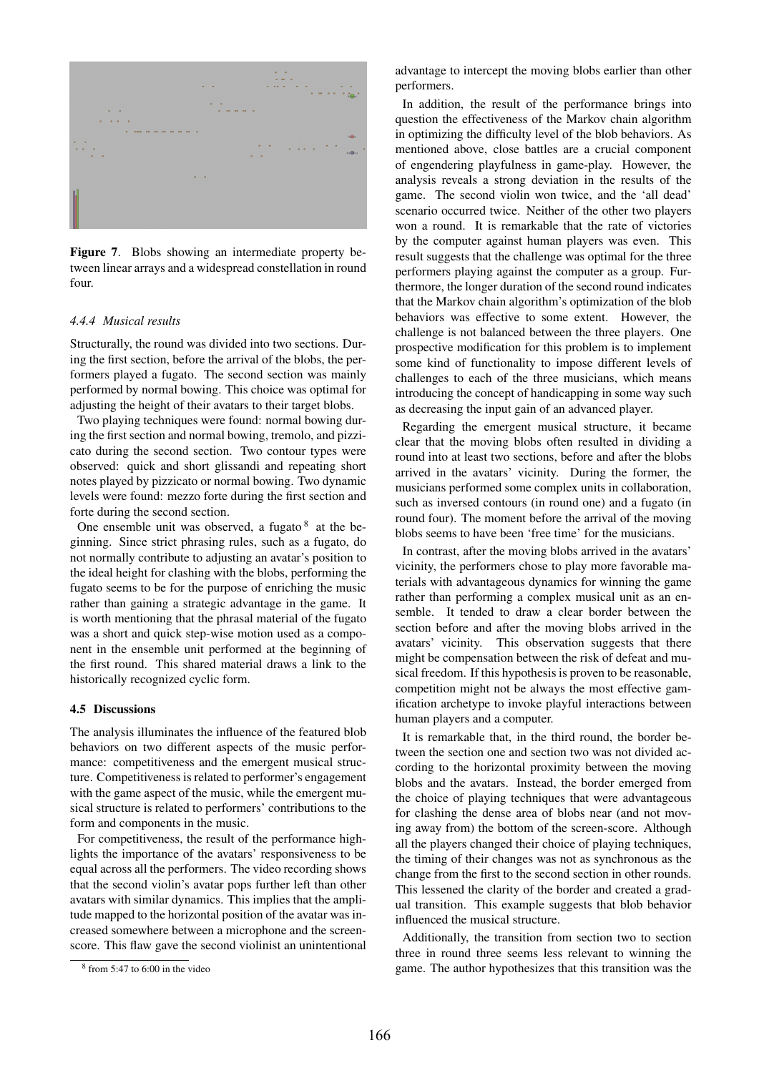

Figure 7. Blobs showing an intermediate property between linear arrays and a widespread constellation in round four.

#### *4.4.4 Musical results*

Structurally, the round was divided into two sections. During the first section, before the arrival of the blobs, the performers played a fugato. The second section was mainly performed by normal bowing. This choice was optimal for adjusting the height of their avatars to their target blobs.

Two playing techniques were found: normal bowing during the first section and normal bowing, tremolo, and pizzicato during the second section. Two contour types were observed: quick and short glissandi and repeating short notes played by pizzicato or normal bowing. Two dynamic levels were found: mezzo forte during the first section and forte during the second section.

One ensemble unit was observed, a fugato  $8$  at the beginning. Since strict phrasing rules, such as a fugato, do not normally contribute to adjusting an avatar's position to the ideal height for clashing with the blobs, performing the fugato seems to be for the purpose of enriching the music rather than gaining a strategic advantage in the game. It is worth mentioning that the phrasal material of the fugato was a short and quick step-wise motion used as a component in the ensemble unit performed at the beginning of the first round. This shared material draws a link to the historically recognized cyclic form.

#### 4.5 Discussions

The analysis illuminates the influence of the featured blob behaviors on two different aspects of the music performance: competitiveness and the emergent musical structure. Competitiveness is related to performer's engagement with the game aspect of the music, while the emergent musical structure is related to performers' contributions to the form and components in the music.

For competitiveness, the result of the performance highlights the importance of the avatars' responsiveness to be equal across all the performers. The video recording shows that the second violin's avatar pops further left than other avatars with similar dynamics. This implies that the amplitude mapped to the horizontal position of the avatar was increased somewhere between a microphone and the screenscore. This flaw gave the second violinist an unintentional advantage to intercept the moving blobs earlier than other performers.

In addition, the result of the performance brings into question the effectiveness of the Markov chain algorithm in optimizing the difficulty level of the blob behaviors. As mentioned above, close battles are a crucial component of engendering playfulness in game-play. However, the analysis reveals a strong deviation in the results of the game. The second violin won twice, and the 'all dead' scenario occurred twice. Neither of the other two players won a round. It is remarkable that the rate of victories by the computer against human players was even. This result suggests that the challenge was optimal for the three performers playing against the computer as a group. Furthermore, the longer duration of the second round indicates that the Markov chain algorithm's optimization of the blob behaviors was effective to some extent. However, the challenge is not balanced between the three players. One prospective modification for this problem is to implement some kind of functionality to impose different levels of challenges to each of the three musicians, which means introducing the concept of handicapping in some way such as decreasing the input gain of an advanced player.

Regarding the emergent musical structure, it became clear that the moving blobs often resulted in dividing a round into at least two sections, before and after the blobs arrived in the avatars' vicinity. During the former, the musicians performed some complex units in collaboration, such as inversed contours (in round one) and a fugato (in round four). The moment before the arrival of the moving blobs seems to have been 'free time' for the musicians.

In contrast, after the moving blobs arrived in the avatars' vicinity, the performers chose to play more favorable materials with advantageous dynamics for winning the game rather than performing a complex musical unit as an ensemble. It tended to draw a clear border between the section before and after the moving blobs arrived in the avatars' vicinity. This observation suggests that there might be compensation between the risk of defeat and musical freedom. If this hypothesis is proven to be reasonable, competition might not be always the most effective gamification archetype to invoke playful interactions between human players and a computer.

It is remarkable that, in the third round, the border between the section one and section two was not divided according to the horizontal proximity between the moving blobs and the avatars. Instead, the border emerged from the choice of playing techniques that were advantageous for clashing the dense area of blobs near (and not moving away from) the bottom of the screen-score. Although all the players changed their choice of playing techniques, the timing of their changes was not as synchronous as the change from the first to the second section in other rounds. This lessened the clarity of the border and created a gradual transition. This example suggests that blob behavior influenced the musical structure.

Additionally, the transition from section two to section three in round three seems less relevant to winning the game. The author hypothesizes that this transition was the

<sup>8</sup> from 5:47 to 6:00 in the video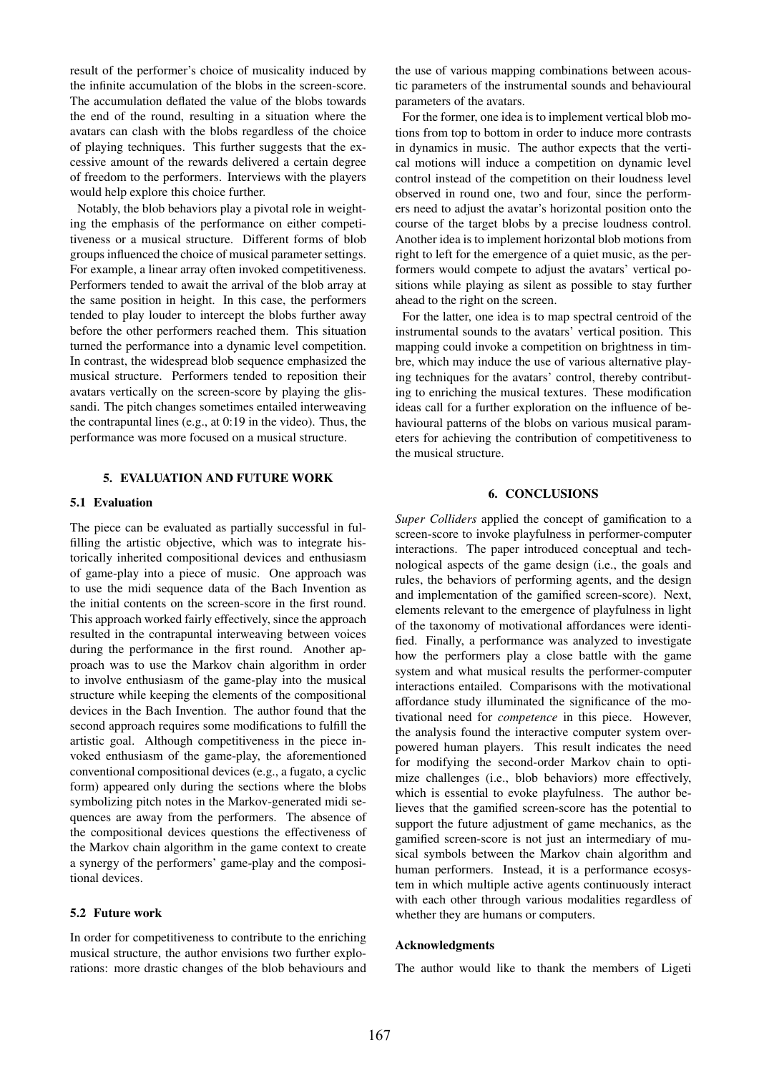result of the performer's choice of musicality induced by the infinite accumulation of the blobs in the screen-score. The accumulation deflated the value of the blobs towards the end of the round, resulting in a situation where the avatars can clash with the blobs regardless of the choice of playing techniques. This further suggests that the excessive amount of the rewards delivered a certain degree of freedom to the performers. Interviews with the players would help explore this choice further.

Notably, the blob behaviors play a pivotal role in weighting the emphasis of the performance on either competitiveness or a musical structure. Different forms of blob groups influenced the choice of musical parameter settings. For example, a linear array often invoked competitiveness. Performers tended to await the arrival of the blob array at the same position in height. In this case, the performers tended to play louder to intercept the blobs further away before the other performers reached them. This situation turned the performance into a dynamic level competition. In contrast, the widespread blob sequence emphasized the musical structure. Performers tended to reposition their avatars vertically on the screen-score by playing the glissandi. The pitch changes sometimes entailed interweaving the contrapuntal lines (e.g., at 0:19 in the video). Thus, the performance was more focused on a musical structure.

#### 5. EVALUATION AND FUTURE WORK

#### 5.1 Evaluation

The piece can be evaluated as partially successful in fulfilling the artistic objective, which was to integrate historically inherited compositional devices and enthusiasm of game-play into a piece of music. One approach was to use the midi sequence data of the Bach Invention as the initial contents on the screen-score in the first round. This approach worked fairly effectively, since the approach resulted in the contrapuntal interweaving between voices during the performance in the first round. Another approach was to use the Markov chain algorithm in order to involve enthusiasm of the game-play into the musical structure while keeping the elements of the compositional devices in the Bach Invention. The author found that the second approach requires some modifications to fulfill the artistic goal. Although competitiveness in the piece invoked enthusiasm of the game-play, the aforementioned conventional compositional devices (e.g., a fugato, a cyclic form) appeared only during the sections where the blobs symbolizing pitch notes in the Markov-generated midi sequences are away from the performers. The absence of the compositional devices questions the effectiveness of the Markov chain algorithm in the game context to create a synergy of the performers' game-play and the compositional devices.

## 5.2 Future work

In order for competitiveness to contribute to the enriching musical structure, the author envisions two further explorations: more drastic changes of the blob behaviours and the use of various mapping combinations between acoustic parameters of the instrumental sounds and behavioural parameters of the avatars.

For the former, one idea is to implement vertical blob motions from top to bottom in order to induce more contrasts in dynamics in music. The author expects that the vertical motions will induce a competition on dynamic level control instead of the competition on their loudness level observed in round one, two and four, since the performers need to adjust the avatar's horizontal position onto the course of the target blobs by a precise loudness control. Another idea is to implement horizontal blob motions from right to left for the emergence of a quiet music, as the performers would compete to adjust the avatars' vertical positions while playing as silent as possible to stay further ahead to the right on the screen.

For the latter, one idea is to map spectral centroid of the instrumental sounds to the avatars' vertical position. This mapping could invoke a competition on brightness in timbre, which may induce the use of various alternative playing techniques for the avatars' control, thereby contributing to enriching the musical textures. These modification ideas call for a further exploration on the influence of behavioural patterns of the blobs on various musical parameters for achieving the contribution of competitiveness to the musical structure.

## 6. CONCLUSIONS

*Super Colliders* applied the concept of gamification to a screen-score to invoke playfulness in performer-computer interactions. The paper introduced conceptual and technological aspects of the game design (i.e., the goals and rules, the behaviors of performing agents, and the design and implementation of the gamified screen-score). Next, elements relevant to the emergence of playfulness in light of the taxonomy of motivational affordances were identified. Finally, a performance was analyzed to investigate how the performers play a close battle with the game system and what musical results the performer-computer interactions entailed. Comparisons with the motivational affordance study illuminated the significance of the motivational need for *competence* in this piece. However, the analysis found the interactive computer system overpowered human players. This result indicates the need for modifying the second-order Markov chain to optimize challenges (i.e., blob behaviors) more effectively, which is essential to evoke playfulness. The author believes that the gamified screen-score has the potential to support the future adjustment of game mechanics, as the gamified screen-score is not just an intermediary of musical symbols between the Markov chain algorithm and human performers. Instead, it is a performance ecosystem in which multiple active agents continuously interact with each other through various modalities regardless of whether they are humans or computers.

#### Acknowledgments

The author would like to thank the members of Ligeti